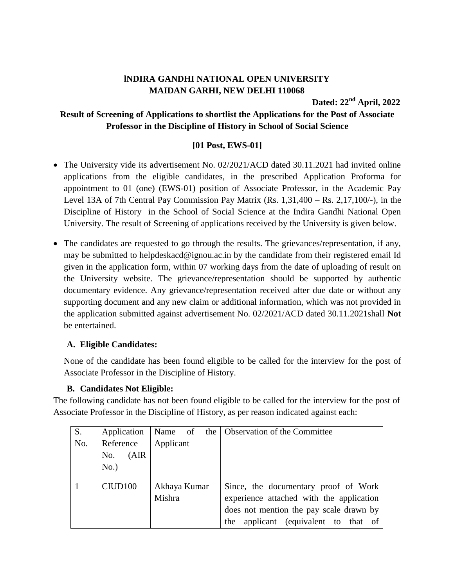# **lNDIRA GANDHI NATIONAL OPEN UNIVERSITY MAIDAN GARHI, NEW DELHI 110068**

**Dated: 22 nd April, 2022**

## **Result of Screening of Applications to shortlist the Applications for the Post of Associate Professor in the Discipline of History in School of Social Science**

## **[01 Post, EWS-01]**

- The University vide its advertisement No. 02/2021/ACD dated 30.11.2021 had invited online applications from the eligible candidates, in the prescribed Application Proforma for appointment to 01 (one) (EWS-01) position of Associate Professor, in the Academic Pay Level 13A of 7th Central Pay Commission Pay Matrix (Rs. 1,31,400 – Rs. 2,17,100/-), in the Discipline of History in the School of Social Science at the Indira Gandhi National Open University. The result of Screening of applications received by the University is given below.
- The candidates are requested to go through the results. The grievances/representation, if any, may be submitted to helpdeskacd@ignou.ac.in by the candidate from their registered email Id given in the application form, within 07 working days from the date of uploading of result on the University website. The grievance/representation should be supported by authentic documentary evidence. Any grievance/representation received after due date or without any supporting document and any new claim or additional information, which was not provided in the application submitted against advertisement No. 02/2021/ACD dated 30.11.2021shall **Not** be entertained.

### **A. Eligible Candidates:**

None of the candidate has been found eligible to be called for the interview for the post of Associate Professor in the Discipline of History.

### **B. Candidates Not Eligible:**

The following candidate has not been found eligible to be called for the interview for the post of Associate Professor in the Discipline of History, as per reason indicated against each:

| S.  | Application         | Name of      | the   Observation of the Committee       |
|-----|---------------------|--------------|------------------------------------------|
| No. | Reference           | Applicant    |                                          |
|     | (AIR)<br>No.        |              |                                          |
|     | No.)                |              |                                          |
|     |                     |              |                                          |
|     | CIUD <sub>100</sub> | Akhaya Kumar | Since, the documentary proof of Work     |
|     |                     | Mishra       | experience attached with the application |
|     |                     |              | does not mention the pay scale drawn by  |
|     |                     |              | applicant (equivalent to that of<br>the  |